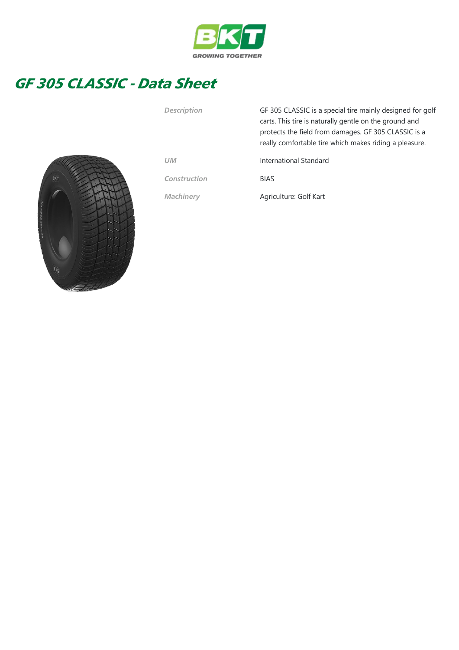

## GF 305 CLASSIC - Data Sheet



| <b>Description</b> | GF 305 CLASSIC is a special tire mainly designed for golf<br>carts. This tire is naturally gentle on the ground and<br>protects the field from damages. GF 305 CLASSIC is a<br>really comfortable tire which makes riding a pleasure. |  |  |  |  |
|--------------------|---------------------------------------------------------------------------------------------------------------------------------------------------------------------------------------------------------------------------------------|--|--|--|--|
| <b>UM</b>          | International Standard                                                                                                                                                                                                                |  |  |  |  |
| Construction       | <b>BIAS</b>                                                                                                                                                                                                                           |  |  |  |  |
| <b>Machinery</b>   | Agriculture: Golf Kart                                                                                                                                                                                                                |  |  |  |  |